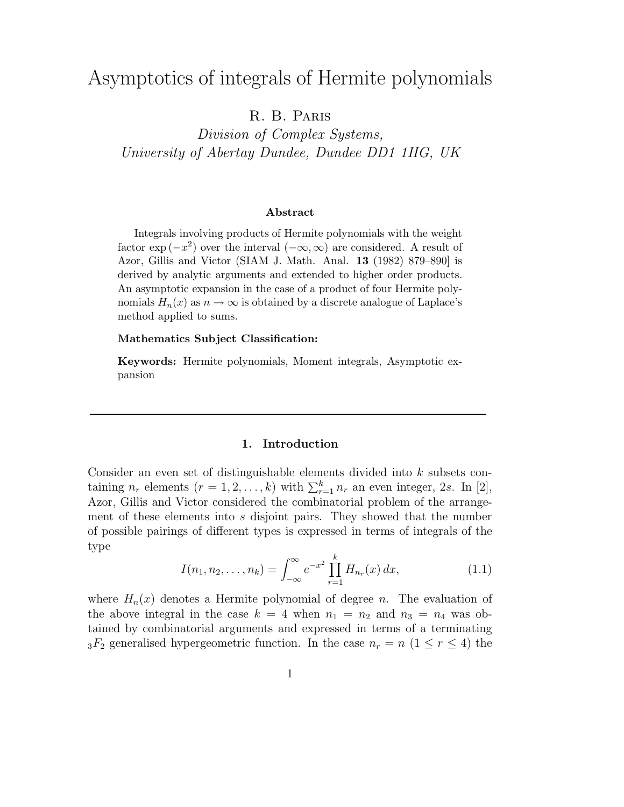# Asymptotics of integrals of Hermite polynomials

R. B. Paris

Division of Complex Systems, University of Abertay Dundee, Dundee DD1 1HG, UK

#### Abstract

Integrals involving products of Hermite polynomials with the weight factor  $\exp(-x^2)$  over the interval  $(-\infty,\infty)$  are considered. A result of Azor, Gillis and Victor (SIAM J. Math. Anal. 13 (1982) 879–890] is derived by analytic arguments and extended to higher order products. An asymptotic expansion in the case of a product of four Hermite polynomials  $H_n(x)$  as  $n \to \infty$  is obtained by a discrete analogue of Laplace's method applied to sums.

#### Mathematics Subject Classification:

Keywords: Hermite polynomials, Moment integrals, Asymptotic expansion

### 1. Introduction

Consider an even set of distinguishable elements divided into k subsets containing  $n_r$  elements  $(r = 1, 2, ..., k)$  with  $\sum_{r=1}^{k} n_r$  an even integer, 2s. In [2], Azor, Gillis and Victor considered the combinatorial problem of the arrangement of these elements into s disjoint pairs. They showed that the number of possible pairings of different types is expressed in terms of integrals of the type

$$
I(n_1, n_2, \dots, n_k) = \int_{-\infty}^{\infty} e^{-x^2} \prod_{r=1}^{k} H_{n_r}(x) \, dx,\tag{1.1}
$$

where  $H_n(x)$  denotes a Hermite polynomial of degree n. The evaluation of the above integral in the case  $k = 4$  when  $n_1 = n_2$  and  $n_3 = n_4$  was obtained by combinatorial arguments and expressed in terms of a terminating  $3F_2$  generalised hypergeometric function. In the case  $n_r = n$  ( $1 \le r \le 4$ ) the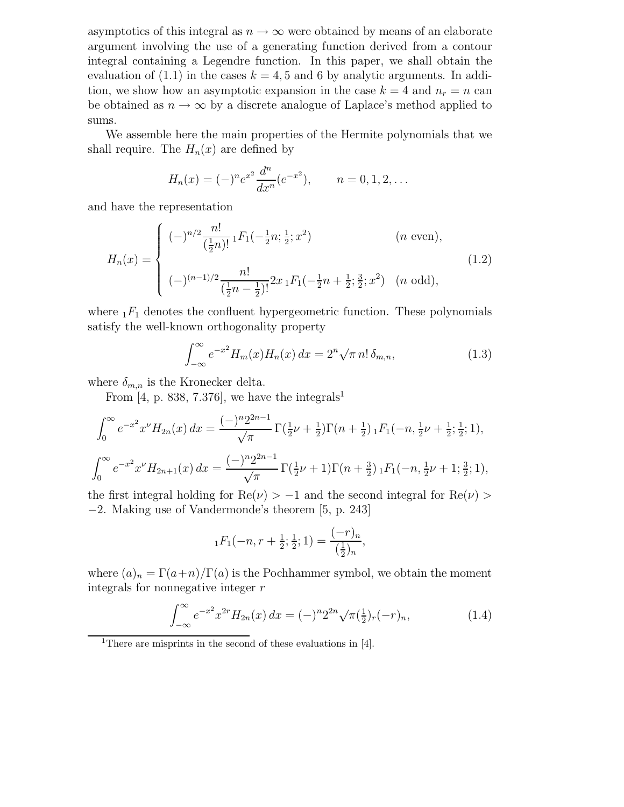asymptotics of this integral as  $n \to \infty$  were obtained by means of an elaborate argument involving the use of a generating function derived from a contour integral containing a Legendre function. In this paper, we shall obtain the evaluation of  $(1.1)$  in the cases  $k = 4, 5$  and 6 by analytic arguments. In addition, we show how an asymptotic expansion in the case  $k = 4$  and  $n_r = n$  can be obtained as  $n \to \infty$  by a discrete analogue of Laplace's method applied to sums.

We assemble here the main properties of the Hermite polynomials that we shall require. The  $H_n(x)$  are defined by

$$
H_n(x) = (-)^n e^{x^2} \frac{d^n}{dx^n} (e^{-x^2}), \qquad n = 0, 1, 2, \dots
$$

and have the representation

$$
H_n(x) = \begin{cases} (-)^{n/2} \frac{n!}{(\frac{1}{2}n)!} {}_1F_1(-\frac{1}{2}n; \frac{1}{2}; x^2) & (n \text{ even}), \\ (-)^{(n-1)/2} \frac{n!}{(\frac{1}{2}n - \frac{1}{2})!} 2x {}_1F_1(-\frac{1}{2}n + \frac{1}{2}; \frac{3}{2}; x^2) & (n \text{ odd}), \end{cases}
$$
(1.2)

where  $E_1F_1$  denotes the confluent hypergeometric function. These polynomials satisfy the well-known orthogonality property

$$
\int_{-\infty}^{\infty} e^{-x^2} H_m(x) H_n(x) dx = 2^n \sqrt{\pi} n! \delta_{m,n},
$$
\n(1.3)

where  $\delta_{m,n}$  is the Kronecker delta.

From [4, p. 838, 7.376], we have the integrals<sup>1</sup>

$$
\int_0^\infty e^{-x^2} x^{\nu} H_{2n}(x) dx = \frac{(-)^n 2^{2n-1}}{\sqrt{\pi}} \Gamma(\frac{1}{2}\nu + \frac{1}{2}) \Gamma(n + \frac{1}{2}) {}_1F_1(-n, \frac{1}{2}\nu + \frac{1}{2}; \frac{1}{2}; 1),
$$
  

$$
\int_0^\infty e^{-x^2} x^{\nu} H_{2n+1}(x) dx = \frac{(-)^n 2^{2n-1}}{\sqrt{\pi}} \Gamma(\frac{1}{2}\nu + 1) \Gamma(n + \frac{3}{2}) {}_1F_1(-n, \frac{1}{2}\nu + 1; \frac{3}{2}; 1),
$$

the first integral holding for  $\text{Re}(\nu) > -1$  and the second integral for  $\text{Re}(\nu) >$ −2. Making use of Vandermonde's theorem [5, p. 243]

$$
{}_1F_1(-n, r + \frac{1}{2}; \frac{1}{2}; 1) = \frac{(-r)_n}{(\frac{1}{2})_n},
$$

where  $(a)_n = \Gamma(a+n)/\Gamma(a)$  is the Pochhammer symbol, we obtain the moment integrals for nonnegative integer  $r$ 

$$
\int_{-\infty}^{\infty} e^{-x^2} x^{2r} H_{2n}(x) dx = (-)^n 2^{2n} \sqrt{\pi} (\frac{1}{2})_r (-r)_n,
$$
\n(1.4)

<sup>1</sup>There are misprints in the second of these evaluations in [4].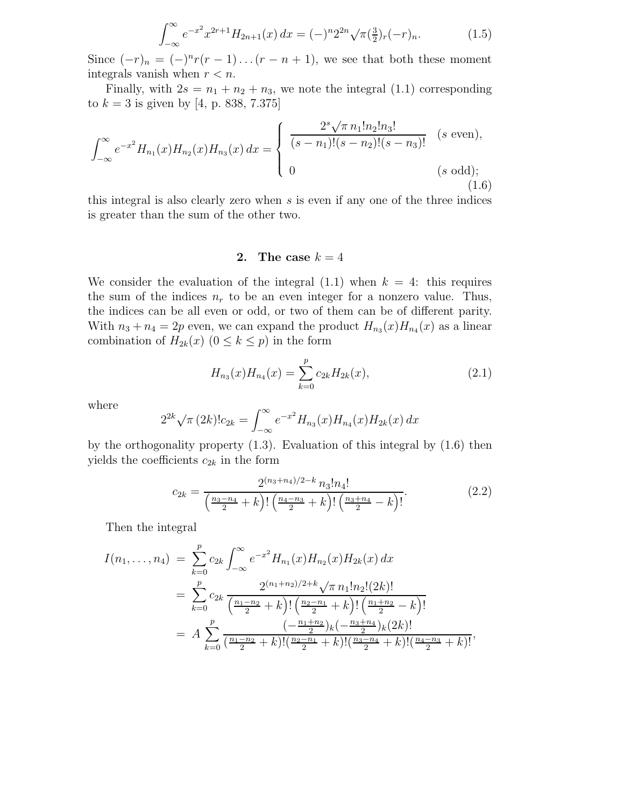$$
\int_{-\infty}^{\infty} e^{-x^2} x^{2r+1} H_{2n+1}(x) dx = (-)^n 2^{2n} \sqrt{\pi} \left(\frac{3}{2}\right)_r (-r)_n.
$$
 (1.5)

Since  $(-r)_n = (-)^n r(r-1) \dots (r-n+1)$ , we see that both these moment integrals vanish when  $r < n$ .

Finally, with  $2s = n_1 + n_2 + n_3$ , we note the integral (1.1) corresponding to  $k = 3$  is given by [4, p. 838, 7.375]

$$
\int_{-\infty}^{\infty} e^{-x^2} H_{n_1}(x) H_{n_2}(x) H_{n_3}(x) dx = \begin{cases} \frac{2^s \sqrt{\pi} n_1! n_2! n_3!}{(s - n_1)!(s - n_2)!(s - n_3)!} & (s \text{ even}),\\ 0 & (s \text{ odd}); \end{cases}
$$
(1.6)

this integral is also clearly zero when s is even if any one of the three indices is greater than the sum of the other two.

#### 2. The case  $k = 4$

We consider the evaluation of the integral  $(1.1)$  when  $k = 4$ : this requires the sum of the indices  $n_r$  to be an even integer for a nonzero value. Thus, the indices can be all even or odd, or two of them can be of different parity. With  $n_3 + n_4 = 2p$  even, we can expand the product  $H_{n_3}(x)H_{n_4}(x)$  as a linear combination of  $H_{2k}(x)$   $(0 \leq k \leq p)$  in the form

$$
H_{n_3}(x)H_{n_4}(x) = \sum_{k=0}^{p} c_{2k}H_{2k}(x),
$$
\n(2.1)

where

$$
2^{2k}\sqrt{\pi (2k)!}c_{2k} = \int_{-\infty}^{\infty} e^{-x^2} H_{n_3}(x)H_{n_4}(x)H_{2k}(x) dx
$$

by the orthogonality property (1.3). Evaluation of this integral by (1.6) then yields the coefficients  $c_{2k}$  in the form

$$
c_{2k} = \frac{2^{(n_3+n_4)/2-k} n_3! n_4!}{\left(\frac{n_3-n_4}{2} + k\right)!\left(\frac{n_4-n_3}{2} + k\right)!\left(\frac{n_3+n_4}{2} - k\right)!}.\tag{2.2}
$$

Then the integral

$$
I(n_1, ..., n_4) = \sum_{k=0}^{p} c_{2k} \int_{-\infty}^{\infty} e^{-x^2} H_{n_1}(x) H_{n_2}(x) H_{2k}(x) dx
$$
  
= 
$$
\sum_{k=0}^{p} c_{2k} \frac{2^{(n_1+n_2)/2+k} \sqrt{\pi} n_1! n_2! (2k)!}{\left(\frac{n_1-n_2}{2} + k\right)! \left(\frac{n_2-n_1}{2} + k\right)! \left(\frac{n_1+n_2}{2} - k\right)!}
$$
  
= 
$$
A \sum_{k=0}^{p} \frac{\left(-\frac{n_1+n_2}{2}\right)_k \left(-\frac{n_3+n_4}{2}\right)_k (2k)!}{\left(\frac{n_1-n_2}{2} + k\right)! \left(\frac{n_2-n_1}{2} + k\right)! \left(\frac{n_3-n_4}{2} + k\right)! \left(\frac{n_4-n_3}{2} + k\right)!},
$$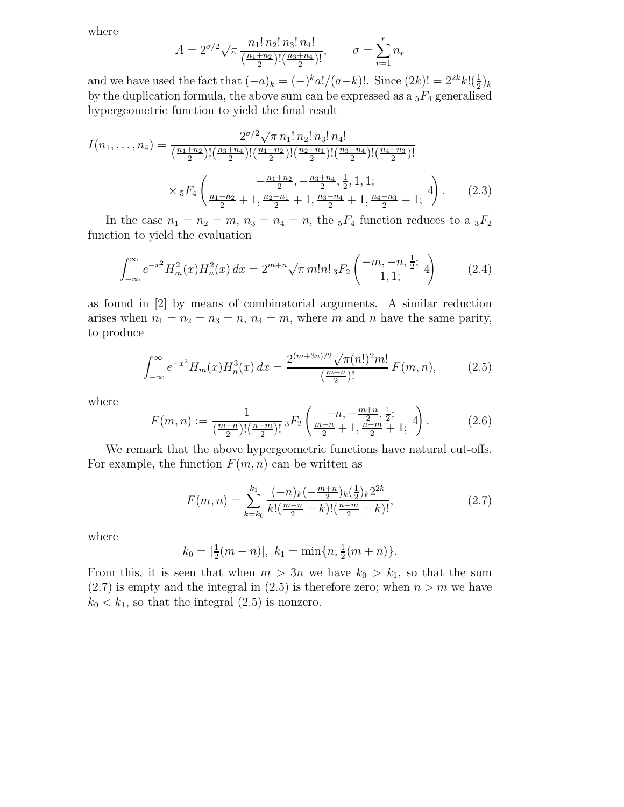where

$$
A = 2^{\sigma/2} \sqrt{\pi} \frac{n_1! \, n_2! \, n_3! \, n_4!}{\left(\frac{n_1+n_2}{2}\right)! \left(\frac{n_3+n_4}{2}\right)!}, \qquad \sigma = \sum_{r=1}^r n_r
$$

and we have used the fact that  $(-a)_k = (-)^k a!/(a-k)!$ . Since  $(2k)! = 2^{2k} k! \left(\frac{1}{2}\right)_k$ by the duplication formula, the above sum can be expressed as a  ${}_5F_4$  generalised hypergeometric function to yield the final result

$$
I(n_1, \ldots, n_4) = \frac{2^{\sigma/2} \sqrt{\pi} n_1! n_2! n_3! n_4!}{\left(\frac{n_1+n_2}{2}\right)! \left(\frac{n_3+n_4}{2}\right)! \left(\frac{n_1-n_2}{2}\right)! \left(\frac{n_2-n_1}{2}\right)! \left(\frac{n_3-n_4}{2}\right)! \left(\frac{n_4-n_3}{2}\right)!}{\left(\frac{n_1+n_2}{2}, -\frac{n_3+n_4}{2}, \frac{1}{2}, 1, 1; \frac{n_4-n_3}{2}+1; \frac{4}{2}\right)}.
$$
 (2.3)

In the case  $n_1 = n_2 = m$ ,  $n_3 = n_4 = n$ , the  $5F_4$  function reduces to a  $3F_2$ function to yield the evaluation

$$
\int_{-\infty}^{\infty} e^{-x^2} H_m^2(x) H_n^2(x) dx = 2^{m+n} \sqrt{\pi} m! n! \, {}_3F_2 \left( \begin{matrix} -m, -n, \frac{1}{2}; \\ 1, 1; \end{matrix} \right) \tag{2.4}
$$

as found in [2] by means of combinatorial arguments. A similar reduction arises when  $n_1 = n_2 = n_3 = n$ ,  $n_4 = m$ , where m and n have the same parity, to produce

$$
\int_{-\infty}^{\infty} e^{-x^2} H_m(x) H_n^3(x) dx = \frac{2^{(m+3n)/2} \sqrt{\pi (n!)^2 m!}}{\left(\frac{m+n}{2}\right)!} F(m,n),\tag{2.5}
$$

where

$$
F(m,n) := \frac{1}{\left(\frac{m-n}{2}\right)!\left(\frac{n-m}{2}\right)!} \, {}_3F_2\left(\frac{-n}{\frac{m-n}{2}+1}, \frac{-\frac{m+n}{2}}{\frac{n-m}{2}+1}, \frac{1}{4}\right). \tag{2.6}
$$

We remark that the above hypergeometric functions have natural cut-offs. For example, the function  $F(m, n)$  can be written as

$$
F(m,n) = \sum_{k=k_0}^{k_1} \frac{(-n)_k (-\frac{m+n}{2})_k (\frac{1}{2})_k 2^{2k}}{k! (\frac{m-n}{2} + k)! (\frac{n-m}{2} + k)!},
$$
\n(2.7)

where

$$
k_0 = |\frac{1}{2}(m-n)|, k_1 = \min\{n, \frac{1}{2}(m+n)\}.
$$

From this, it is seen that when  $m > 3n$  we have  $k_0 > k_1$ , so that the sum  $(2.7)$  is empty and the integral in  $(2.5)$  is therefore zero; when  $n > m$  we have  $k_0 < k_1$ , so that the integral  $(2.5)$  is nonzero.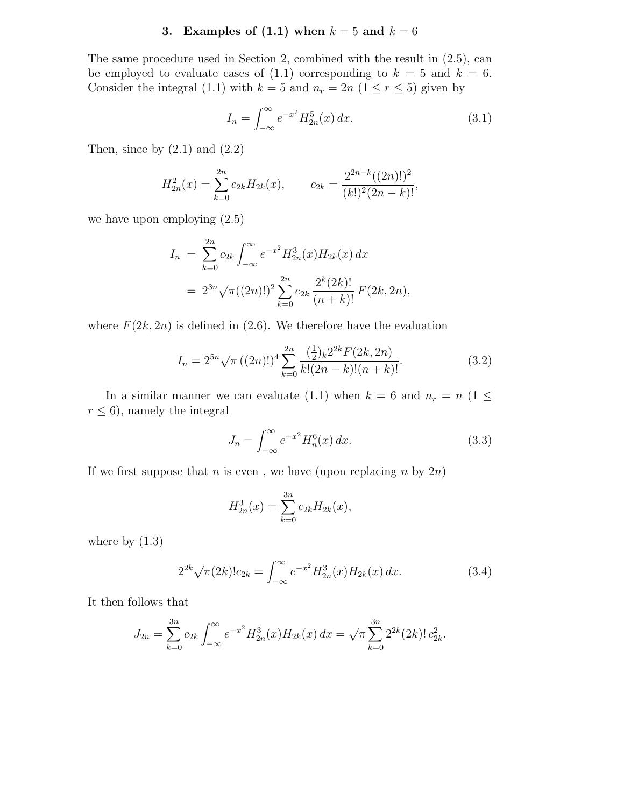## 3. Examples of (1.1) when  $k = 5$  and  $k = 6$

The same procedure used in Section 2, combined with the result in (2.5), can be employed to evaluate cases of (1.1) corresponding to  $k = 5$  and  $k = 6$ . Consider the integral (1.1) with  $k = 5$  and  $n_r = 2n$  (1  $\leq r \leq 5$ ) given by

$$
I_n = \int_{-\infty}^{\infty} e^{-x^2} H_{2n}^5(x) \, dx. \tag{3.1}
$$

Then, since by  $(2.1)$  and  $(2.2)$ 

$$
H_{2n}^{2}(x) = \sum_{k=0}^{2n} c_{2k} H_{2k}(x), \qquad c_{2k} = \frac{2^{2n-k}((2n)!)^{2}}{(k!)^{2}(2n-k)!},
$$

we have upon employing (2.5)

$$
I_n = \sum_{k=0}^{2n} c_{2k} \int_{-\infty}^{\infty} e^{-x^2} H_{2n}^3(x) H_{2k}(x) dx
$$
  
=  $2^{3n} \sqrt{\pi} ((2n)!)^2 \sum_{k=0}^{2n} c_{2k} \frac{2^k (2k)!}{(n+k)!} F(2k, 2n),$ 

where  $F(2k, 2n)$  is defined in (2.6). We therefore have the evaluation

$$
I_n = 2^{5n} \sqrt{\pi} \left( (2n)! \right)^4 \sum_{k=0}^{2n} \frac{\left( \frac{1}{2} \right) \sqrt{k^2} \mathcal{F}(2k, 2n)}{k! (2n-k)! (n+k)!}.
$$
 (3.2)

In a similar manner we can evaluate (1.1) when  $k = 6$  and  $n_r = n$  (1  $\leq$  $r \leq 6$ , namely the integral

$$
J_n = \int_{-\infty}^{\infty} e^{-x^2} H_n^6(x) \, dx. \tag{3.3}
$$

If we first suppose that *n* is even, we have (upon replacing *n* by  $2n$ )

$$
H_{2n}^{3}(x) = \sum_{k=0}^{3n} c_{2k} H_{2k}(x),
$$

where by  $(1.3)$ 

$$
2^{2k}\sqrt{\pi(2k)!}c_{2k} = \int_{-\infty}^{\infty} e^{-x^2} H_{2n}^3(x)H_{2k}(x) dx.
$$
 (3.4)

It then follows that

$$
J_{2n} = \sum_{k=0}^{3n} c_{2k} \int_{-\infty}^{\infty} e^{-x^2} H_{2n}^3(x) H_{2k}(x) dx = \sqrt{\pi} \sum_{k=0}^{3n} 2^{2k} (2k)! c_{2k}^2.
$$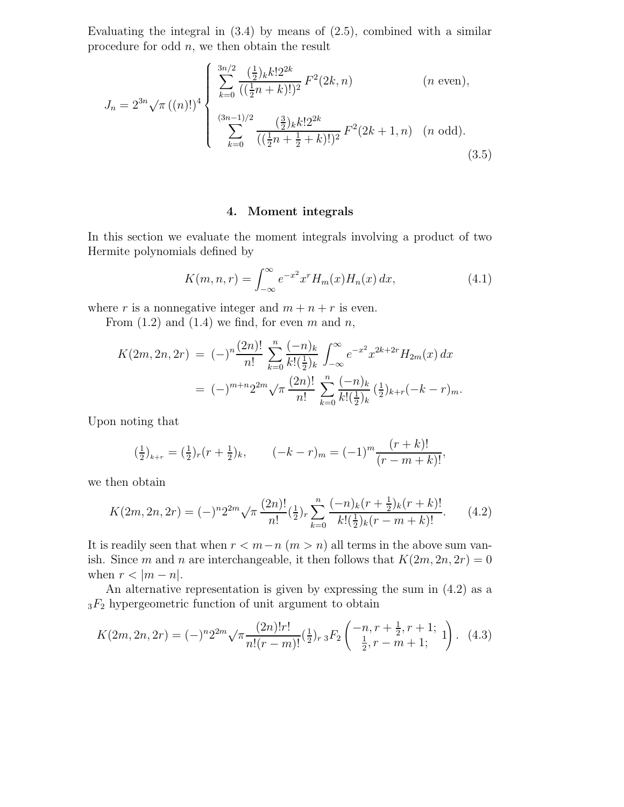Evaluating the integral in  $(3.4)$  by means of  $(2.5)$ , combined with a similar procedure for odd n, we then obtain the result

$$
J_n = 2^{3n} \sqrt{\pi} \left( (n)! \right)^4 \begin{cases} \sum_{k=0}^{3n/2} \frac{\left( \frac{1}{2} \right)_k k! 2^{2k}}{\left( \left( \frac{1}{2} n + k \right)! \right)^2} F^2(2k, n) & (n \text{ even}), \\ \sum_{k=0}^{(3n-1)/2} \frac{\left( \frac{3}{2} \right)_k k! 2^{2k}}{\left( \left( \frac{1}{2} n + \frac{1}{2} + k \right)! \right)^2} F^2(2k+1, n) & (n \text{ odd}). \end{cases}
$$
(3.5)

#### 4. Moment integrals

In this section we evaluate the moment integrals involving a product of two Hermite polynomials defined by

$$
K(m, n, r) = \int_{-\infty}^{\infty} e^{-x^2} x^r H_m(x) H_n(x) dx,
$$
\n(4.1)

where r is a nonnegative integer and  $m + n + r$  is even.

From  $(1.2)$  and  $(1.4)$  we find, for even m and n,

$$
K(2m, 2n, 2r) = (-)^n \frac{(2n)!}{n!} \sum_{k=0}^n \frac{(-n)_k}{k! \left(\frac{1}{2}\right)_k} \int_{-\infty}^{\infty} e^{-x^2} x^{2k+2r} H_{2m}(x) dx
$$
  
=  $(-)^{m+n} 2^{2m} \sqrt{\pi} \frac{(2n)!}{n!} \sum_{k=0}^n \frac{(-n)_k}{k! \left(\frac{1}{2}\right)_k} \left(\frac{1}{2}\right)_{k+r} (-k-r)_m.$ 

Upon noting that

$$
\left(\frac{1}{2}\right)_{k+r} = \left(\frac{1}{2}\right)_r \left(r + \frac{1}{2}\right)_k, \qquad \left(-k - r\right)_m = (-1)^m \frac{(r + k)!}{(r - m + k)!},
$$

we then obtain

$$
K(2m, 2n, 2r) = (-)^n 2^{2m} \sqrt{\pi} \frac{(2n)!}{n!} \left(\frac{1}{2}\right)_r \sum_{k=0}^n \frac{(-n)_k (r + \frac{1}{2})_k (r + k)!}{k! \left(\frac{1}{2}\right)_k (r - m + k)!}.
$$
 (4.2)

It is readily seen that when  $r < m-n$   $(m > n)$  all terms in the above sum vanish. Since m and n are interchangeable, it then follows that  $K(2m, 2n, 2r) = 0$ when  $r < |m - n|$ .

An alternative representation is given by expressing the sum in (4.2) as a  $3F_2$  hypergeometric function of unit argument to obtain

$$
K(2m, 2n, 2r) = (-)^n 2^{2m} \sqrt{\pi \frac{(2n)!r!}{n!(r-m)!}} \left(\frac{1}{2}\right)_{r} {}_{3}F_2\left(\begin{array}{c} -n, r + \frac{1}{2}, r + 1; \\ \frac{1}{2}, r - m + 1; \end{array}1\right). \tag{4.3}
$$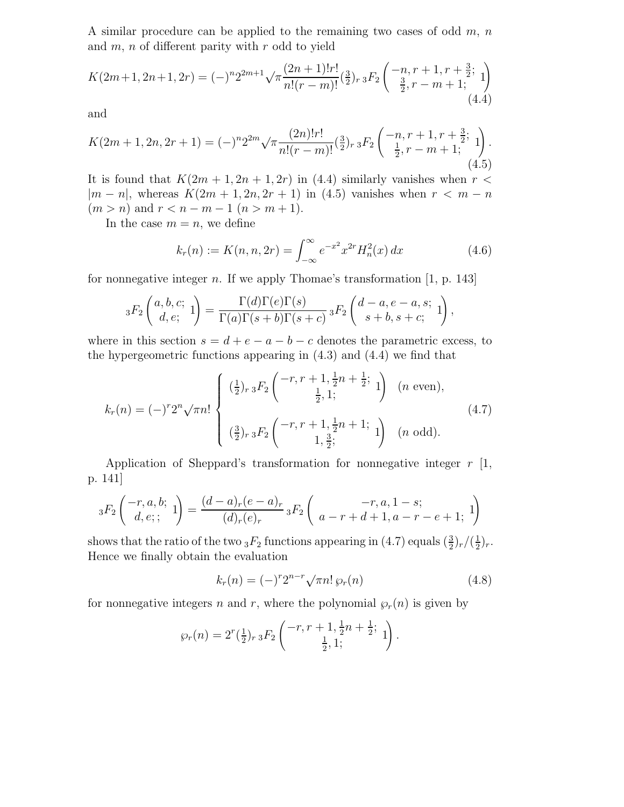A similar procedure can be applied to the remaining two cases of odd  $m, n$ and  $m, n$  of different parity with  $r$  odd to yield

$$
K(2m+1, 2n+1, 2r) = (-)^n 2^{2m+1} \sqrt{\pi} \frac{(2n+1)!r!}{n!(r-m)!} (\frac{3}{2})_r {}_3F_2 \left( \frac{-n, r+1, r+\frac{3}{2};}{\frac{3}{2}, r-m+1;} 1 \right)
$$
\n(4.4)

and

$$
K(2m+1, 2n, 2r+1) = (-)^{n} 2^{2m} \sqrt{\pi} \frac{(2n)!r!}{n!(r-m)!} (\frac{3}{2})_{r} {}_{3}F_{2} \left( \frac{-n, r+1, r+\frac{3}{2};}{\frac{1}{2}, r-m+1;} 1 \right). \tag{4.5}
$$

It is found that  $K(2m + 1, 2n + 1, 2r)$  in (4.4) similarly vanishes when  $r <$  $|m - n|$ , whereas  $K(2m + 1, 2n, 2r + 1)$  in (4.5) vanishes when  $r < m - n$  $(m > n)$  and  $r < n - m - 1$   $(n > m + 1)$ .

In the case  $m = n$ , we define

$$
k_r(n) := K(n, n, 2r) = \int_{-\infty}^{\infty} e^{-x^2} x^{2r} H_n^2(x) dx \qquad (4.6)
$$

for nonnegative integer n. If we apply Thomae's transformation  $[1, p. 143]$ 

$$
{}_3F_2\left(\begin{matrix}a,b,c;\\d,e;\end{matrix}\right)=\frac{\Gamma(d)\Gamma(e)\Gamma(s)}{\Gamma(a)\Gamma(s+b)\Gamma(s+c)}\, {}_3F_2\left(\begin{matrix}d-a,e-a,s;\\s+b,s+c;\end{matrix}\right),
$$

where in this section  $s = d + e - a - b - c$  denotes the parametric excess, to the hypergeometric functions appearing in (4.3) and (4.4) we find that

$$
k_r(n) = (-)^r 2^n \sqrt{\pi n!} \begin{cases} \left(\frac{1}{2}\right)_r {}_{3}F_2\left(\begin{matrix} -r, r+1, \frac{1}{2}n+\frac{1}{2}; \\ \frac{1}{2}, 1; \end{matrix}\right) & (n \text{ even}), \\ \left(\frac{3}{2}\right)_r {}_{3}F_2\left(\begin{matrix} -r, r+1, \frac{1}{2}n+1; \\ 1, \frac{3}{2}; \end{matrix}\right) & (n \text{ odd}). \end{cases} (4.7)
$$

Application of Sheppard's transformation for nonnegative integer  $r \; [1, 1]$ p. 141]

$$
{}_3F_2\left(\begin{array}{c} -r, a, b; \\ d, e; \end{array} \right) = \frac{(d-a)_r(e-a)_r}{(d)_r(e)_r} {}_3F_2\left(\begin{array}{c} -r, a, 1-s; \\ a-r+d+1, a-r-e+1; \end{array} 1\right)
$$

shows that the ratio of the two  ${}_3F_2$  functions appearing in (4.7) equals  $(\frac{3}{2})_r/(\frac{1}{2})$  $(\frac{1}{2})_r$ . Hence we finally obtain the evaluation

$$
k_r(n) = (-)^r 2^{n-r} \sqrt{\pi n!} \wp_r(n) \qquad (4.8)
$$

for nonnegative integers n and r, where the polynomial  $\wp_r(n)$  is given by

$$
\wp_r(n) = 2^r(\frac{1}{2})_{r} {}_{3}F_2\left(\begin{array}{c} -r, r+1, \frac{1}{2}n+\frac{1}{2}; \\ \frac{1}{2}, 1; \end{array}1\right).
$$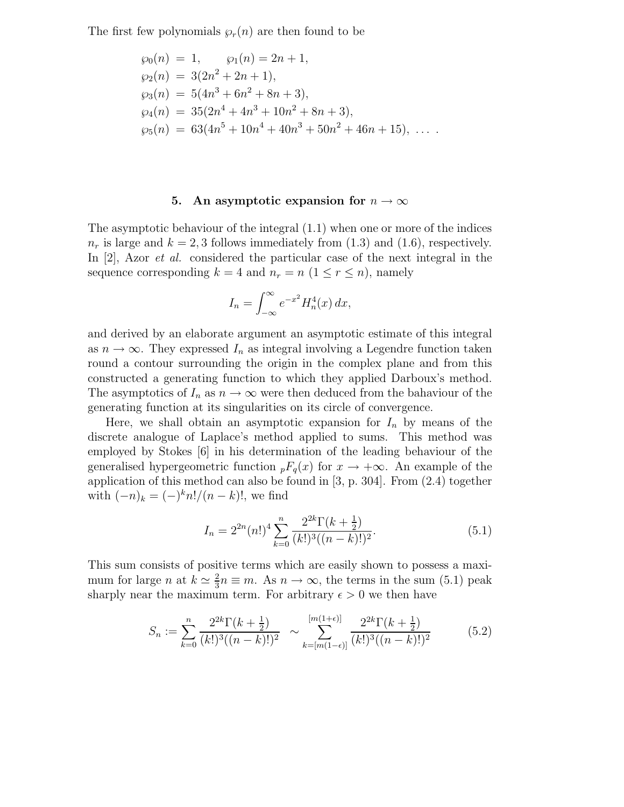The first few polynomials  $\wp_r(n)$  are then found to be

$$
\wp_0(n) = 1, \qquad \wp_1(n) = 2n + 1,
$$
  
\n
$$
\wp_2(n) = 3(2n^2 + 2n + 1),
$$
  
\n
$$
\wp_3(n) = 5(4n^3 + 6n^2 + 8n + 3),
$$
  
\n
$$
\wp_4(n) = 35(2n^4 + 4n^3 + 10n^2 + 8n + 3),
$$
  
\n
$$
\wp_5(n) = 63(4n^5 + 10n^4 + 40n^3 + 50n^2 + 46n + 15), \dots
$$

#### 5. An asymptotic expansion for  $n \to \infty$

The asymptotic behaviour of the integral (1.1) when one or more of the indices  $n_r$  is large and  $k = 2, 3$  follows immediately from (1.3) and (1.6), respectively. In  $[2]$ , Azor *et al.* considered the particular case of the next integral in the sequence corresponding  $k = 4$  and  $n_r = n \ (1 \leq r \leq n)$ , namely

$$
I_n = \int_{-\infty}^{\infty} e^{-x^2} H_n^4(x) \, dx,
$$

and derived by an elaborate argument an asymptotic estimate of this integral as  $n \to \infty$ . They expressed  $I_n$  as integral involving a Legendre function taken round a contour surrounding the origin in the complex plane and from this constructed a generating function to which they applied Darboux's method. The asymptotics of  $I_n$  as  $n \to \infty$  were then deduced from the bahaviour of the generating function at its singularities on its circle of convergence.

Here, we shall obtain an asymptotic expansion for  $I_n$  by means of the discrete analogue of Laplace's method applied to sums. This method was employed by Stokes [6] in his determination of the leading behaviour of the generalised hypergeometric function  ${}_{p}F_{q}(x)$  for  $x \to +\infty$ . An example of the application of this method can also be found in [3, p. 304]. From (2.4) together with  $(-n)_k = (-)^k n!/(n-k)!$ , we find

$$
I_n = 2^{2n} (n!)^4 \sum_{k=0}^n \frac{2^{2k} \Gamma(k + \frac{1}{2})}{(k!)^3 ((n-k)!)^2}.
$$
 (5.1)

This sum consists of positive terms which are easily shown to possess a maximum for large *n* at  $k \approx \frac{2}{3}$  $\frac{2}{3}n \equiv m$ . As  $n \to \infty$ , the terms in the sum (5.1) peak sharply near the maximum term. For arbitrary  $\epsilon > 0$  we then have

$$
S_n := \sum_{k=0}^n \frac{2^{2k} \Gamma(k + \frac{1}{2})}{(k!)^3 ((n-k)!)^2} \sim \sum_{k=[m(1-\epsilon)]}^{[m(1+\epsilon)]} \frac{2^{2k} \Gamma(k + \frac{1}{2})}{(k!)^3 ((n-k)!)^2}
$$
(5.2)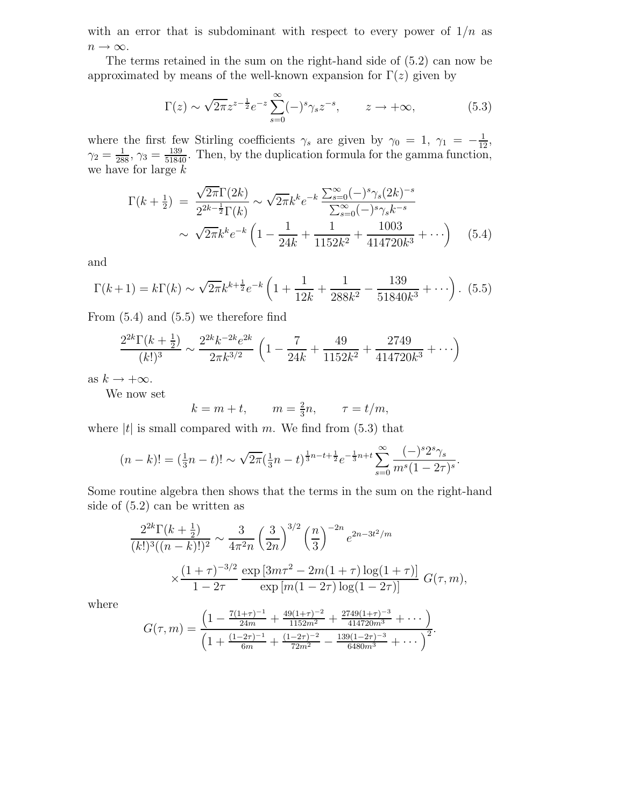with an error that is subdominant with respect to every power of  $1/n$  as  $n\to\infty.$ 

The terms retained in the sum on the right-hand side of (5.2) can now be approximated by means of the well-known expansion for  $\Gamma(z)$  given by

$$
\Gamma(z) \sim \sqrt{2\pi} z^{z-\frac{1}{2}} e^{-z} \sum_{s=0}^{\infty} (-)^s \gamma_s z^{-s}, \qquad z \to +\infty,
$$
 (5.3)

where the first few Stirling coefficients  $\gamma_s$  are given by  $\gamma_0 = 1$ ,  $\gamma_1 = -\frac{1}{12}$ ,  $\gamma_2 = \frac{1}{288}$ ,  $\gamma_3 = \frac{139}{51840}$ . Then, by the duplication formula for the gamma function, we have for large  $k$ 

$$
\Gamma(k+\frac{1}{2}) = \frac{\sqrt{2\pi}\Gamma(2k)}{2^{2k-\frac{1}{2}}\Gamma(k)} \sim \sqrt{2\pi}k^k e^{-k} \frac{\sum_{s=0}^{\infty}(-)^s \gamma_s (2k)^{-s}}{\sum_{s=0}^{\infty}(-)^s \gamma_s k^{-s}} \sim \sqrt{2\pi}k^k e^{-k} \left(1 - \frac{1}{24k} + \frac{1}{1152k^2} + \frac{1003}{414720k^3} + \cdots \right) \quad (5.4)
$$

and

$$
\Gamma(k+1) = k\Gamma(k) \sim \sqrt{2\pi}k^{k+\frac{1}{2}}e^{-k}\left(1 + \frac{1}{12k} + \frac{1}{288k^2} - \frac{139}{51840k^3} + \cdots\right). \tag{5.5}
$$

From (5.4) and (5.5) we therefore find

$$
\frac{2^{2k}\Gamma(k+\frac{1}{2})}{(k!)^3} \sim \frac{2^{2k}k^{-2k}e^{2k}}{2\pi k^{3/2}} \left(1 - \frac{7}{24k} + \frac{49}{1152k^2} + \frac{2749}{414720k^3} + \cdots\right)
$$

as  $k \to +\infty$ .

We now set

$$
k = m + t, \qquad m = \frac{2}{3}n, \qquad \tau = t/m,
$$

where  $|t|$  is small compared with m. We find from (5.3) that

$$
(n-k)! = \left(\frac{1}{3}n-t\right)! \sim \sqrt{2\pi} \left(\frac{1}{3}n-t\right)^{\frac{1}{3}n-t+\frac{1}{2}} e^{-\frac{1}{3}n+t} \sum_{s=0}^{\infty} \frac{(-)^s 2^s \gamma_s}{m^s (1-2\tau)^s}.
$$

Some routine algebra then shows that the terms in the sum on the right-hand side of (5.2) can be written as

$$
\frac{2^{2k}\Gamma(k+\frac{1}{2})}{(k!)^3((n-k)!)^2} \sim \frac{3}{4\pi^2 n} \left(\frac{3}{2n}\right)^{3/2} \left(\frac{n}{3}\right)^{-2n} e^{2n-3t^2/m}
$$

$$
\times \frac{(1+\tau)^{-3/2}}{1-2\tau} \frac{\exp\left[3m\tau^2 - 2m(1+\tau)\log(1+\tau)\right]}{\exp\left[m(1-2\tau)\log(1-2\tau)\right]} G(\tau, m),
$$

where

$$
G(\tau,m) = \frac{\left(1 - \frac{7(1+\tau)^{-1}}{24m} + \frac{49(1+\tau)^{-2}}{1152m^2} + \frac{2749(1+\tau)^{-3}}{414720m^3} + \cdots\right)}{\left(1 + \frac{(1-2\tau)^{-1}}{6m} + \frac{(1-2\tau)^{-2}}{72m^2} - \frac{139(1-2\tau)^{-3}}{6480m^3} + \cdots\right)^2}.
$$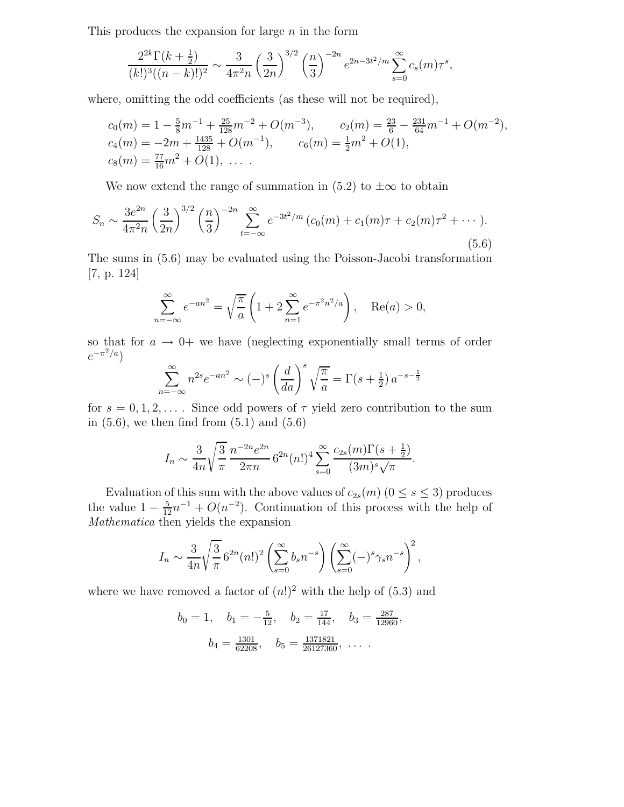This produces the expansion for large  $n$  in the form

$$
\frac{2^{2k}\Gamma(k+\frac{1}{2})}{(k!)^3((n-k)!)^2} \sim \frac{3}{4\pi^2 n} \left(\frac{3}{2n}\right)^{3/2} \left(\frac{n}{3}\right)^{-2n} e^{2n-3t^2/m} \sum_{s=0}^{\infty} c_s(m)\tau^s,
$$

where, omitting the odd coefficients (as these will not be required),

$$
c_0(m) = 1 - \frac{5}{8}m^{-1} + \frac{25}{128}m^{-2} + O(m^{-3}), \qquad c_2(m) = \frac{23}{6} - \frac{231}{64}m^{-1} + O(m^{-2}),
$$
  
\n
$$
c_4(m) = -2m + \frac{1435}{128} + O(m^{-1}), \qquad c_6(m) = \frac{1}{2}m^2 + O(1),
$$
  
\n
$$
c_8(m) = \frac{77}{16}m^2 + O(1), \ \ldots \ .
$$

We now extend the range of summation in (5.2) to  $\pm\infty$  to obtain

$$
S_n \sim \frac{3e^{2n}}{4\pi^2 n} \left(\frac{3}{2n}\right)^{3/2} \left(\frac{n}{3}\right)^{-2n} \sum_{t=-\infty}^{\infty} e^{-3t^2/m} \left(c_0(m) + c_1(m)\tau + c_2(m)\tau^2 + \cdots\right).
$$
\n(5.6)

The sums in (5.6) may be evaluated using the Poisson-Jacobi transformation [7, p. 124]

$$
\sum_{n=-\infty}^{\infty} e^{-an^2} = \sqrt{\frac{\pi}{a}} \left( 1 + 2 \sum_{n=1}^{\infty} e^{-\pi^2 n^2/a} \right), \quad \text{Re}(a) > 0,
$$

so that for  $a \rightarrow 0^+$  we have (neglecting exponentially small terms of order  $e^{-\pi^2/a}$ 

$$
\sum_{n=-\infty}^{\infty} n^{2s} e^{-an^2} \sim (-)^s \left(\frac{d}{da}\right)^s \sqrt{\frac{\pi}{a}} = \Gamma(s + \frac{1}{2}) a^{-s - \frac{1}{2}}
$$

for  $s = 0, 1, 2, \ldots$ . Since odd powers of  $\tau$  yield zero contribution to the sum in  $(5.6)$ , we then find from  $(5.1)$  and  $(5.6)$ 

$$
I_n \sim \frac{3}{4n} \sqrt{\frac{3}{\pi}} \frac{n^{-2n} e^{2n}}{2\pi n} 6^{2n} (n!)^4 \sum_{s=0}^{\infty} \frac{c_{2s}(m) \Gamma(s + \frac{1}{2})}{(3m)^s \sqrt{\pi}}.
$$

Evaluation of this sum with the above values of  $c_{2s}(m)$   $(0 \le s \le 3)$  produces the value  $1 - \frac{5}{12}n^{-1} + O(n^{-2})$ . Continuation of this process with the help of Mathematica then yields the expansion

$$
I_n \sim \frac{3}{4n} \sqrt{\frac{3}{\pi}} 6^{2n} (n!)^2 \left( \sum_{s=0}^{\infty} b_s n^{-s} \right) \left( \sum_{s=0}^{\infty} (-)^s \gamma_s n^{-s} \right)^2
$$

where we have removed a factor of  $(n!)^2$  with the help of  $(5.3)$  and

$$
b_0 = 1
$$
,  $b_1 = -\frac{5}{12}$ ,  $b_2 = \frac{17}{144}$ ,  $b_3 = \frac{287}{12960}$ ,  
 $b_4 = \frac{1301}{62208}$ ,  $b_5 = \frac{1371821}{26127360}$ , ...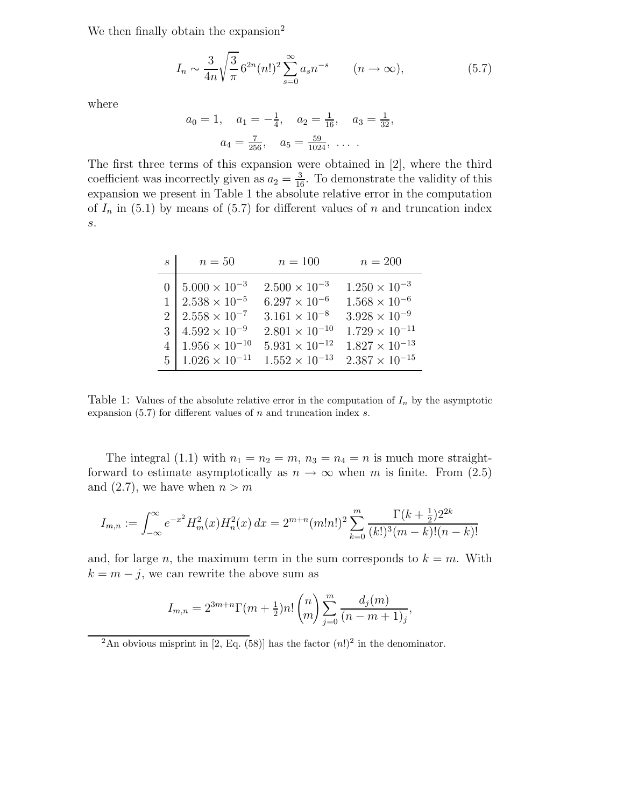We then finally obtain the expansion<sup>2</sup>

$$
I_n \sim \frac{3}{4n} \sqrt{\frac{3}{\pi}} 6^{2n} (n!)^2 \sum_{s=0}^{\infty} a_s n^{-s} \qquad (n \to \infty),
$$
 (5.7)

where

$$
a_0 = 1
$$
,  $a_1 = -\frac{1}{4}$ ,  $a_2 = \frac{1}{16}$ ,  $a_3 = \frac{1}{32}$ ,  
 $a_4 = \frac{7}{256}$ ,  $a_5 = \frac{59}{1024}$ , ...

The first three terms of this expansion were obtained in [2], where the third coefficient was incorrectly given as  $a_2 = \frac{3}{16}$ . To demonstrate the validity of this expansion we present in Table 1 the absolute relative error in the computation of  $I_n$  in (5.1) by means of (5.7) for different values of n and truncation index s.

| S              | $n=50$                         | $n = 100$               | $n = 200$               |
|----------------|--------------------------------|-------------------------|-------------------------|
|                | $0 \mid 5.000 \times 10^{-3}$  | $2.500 \times 10^{-3}$  | $1.250 \times 10^{-3}$  |
| 1 <sup>1</sup> | $2.538 \times 10^{-5}$         | $6.297 \times 10^{-6}$  | $1.568 \times 10^{-6}$  |
|                | $2 \mid 2.558 \times 10^{-7}$  | $3.161 \times 10^{-8}$  | $3.928 \times 10^{-9}$  |
|                | $3 \mid 4.592 \times 10^{-9}$  | $2.801 \times 10^{-10}$ | $1.729 \times 10^{-11}$ |
| $\overline{4}$ | $1.956 \times 10^{-10}$        | $5.931 \times 10^{-12}$ | $1.827 \times 10^{-13}$ |
|                | $5 \mid 1.026 \times 10^{-11}$ | $1.552 \times 10^{-13}$ | $2.387 \times 10^{-15}$ |

Table 1: Values of the absolute relative error in the computation of  $I_n$  by the asymptotic expansion  $(5.7)$  for different values of n and truncation index s.

The integral (1.1) with  $n_1 = n_2 = m$ ,  $n_3 = n_4 = n$  is much more straightforward to estimate asymptotically as  $n \to \infty$  when m is finite. From (2.5) and (2.7), we have when  $n > m$ 

$$
I_{m,n} := \int_{-\infty}^{\infty} e^{-x^2} H_m^2(x) H_n^2(x) dx = 2^{m+n} (m!n!)^2 \sum_{k=0}^m \frac{\Gamma(k+\frac{1}{2}) 2^{2k}}{(k!)^3 (m-k)!(n-k)!}
$$

and, for large n, the maximum term in the sum corresponds to  $k = m$ . With  $k = m - j$ , we can rewrite the above sum as

$$
I_{m,n} = 2^{3m+n} \Gamma(m + \frac{1}{2}) n! \binom{n}{m} \sum_{j=0}^{m} \frac{d_j(m)}{(n-m+1)_j},
$$

<sup>&</sup>lt;sup>2</sup>An obvious misprint in [2, Eq. (58)] has the factor  $(n!)^2$  in the denominator.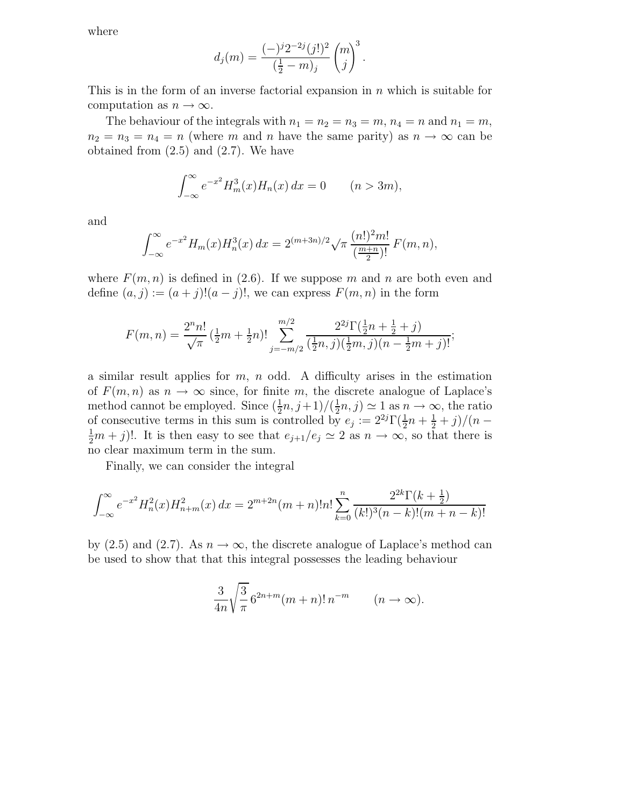where

$$
d_j(m) = \frac{(-)^j 2^{-2j} (j!)^2}{(\frac{1}{2} - m)_j} {m \choose j}^3.
$$

This is in the form of an inverse factorial expansion in  $n$  which is suitable for computation as  $n \to \infty$ .

The behaviour of the integrals with  $n_1 = n_2 = n_3 = m$ ,  $n_4 = n$  and  $n_1 = m$ ,  $n_2 = n_3 = n_4 = n$  (where m and n have the same parity) as  $n \to \infty$  can be obtained from  $(2.5)$  and  $(2.7)$ . We have

$$
\int_{-\infty}^{\infty} e^{-x^2} H_m^3(x) H_n(x) \, dx = 0 \qquad (n > 3m),
$$

and

$$
\int_{-\infty}^{\infty} e^{-x^2} H_m(x) H_n^3(x) dx = 2^{(m+3n)/2} \sqrt{\pi} \frac{(n!)^2 m!}{\left(\frac{m+n}{2}\right)!} F(m,n),
$$

where  $F(m, n)$  is defined in (2.6). If we suppose m and n are both even and define  $(a, j) := (a + j)!(a - j)!$ , we can express  $F(m, n)$  in the form

$$
F(m,n) = \frac{2^n n!}{\sqrt{\pi}} \left(\frac{1}{2}m + \frac{1}{2}n\right) \cdot \sum_{j=-m/2}^{m/2} \frac{2^{2j} \Gamma(\frac{1}{2}n + \frac{1}{2} + j)}{(\frac{1}{2}n, j)(\frac{1}{2}m, j)(n - \frac{1}{2}m + j)!};
$$

a similar result applies for  $m$ ,  $n$  odd. A difficulty arises in the estimation of  $F(m, n)$  as  $n \to \infty$  since, for finite m, the discrete analogue of Laplace's method cannot be employed. Since  $(\frac{1}{2}n, j+1)/(\frac{1}{2})$  $(\frac{1}{2}n, j) \simeq 1$  as  $n \to \infty$ , the ratio of consecutive terms in this sum is controlled by  $e_j := 2^{2j}\Gamma(\frac{1}{2}n + \frac{1}{2} + j)/(n (\frac{1}{2}m + j)!$ . It is then easy to see that  $e_{j+1}/e_j \simeq 2$  as  $n \to \infty$ , so that there is no clear maximum term in the sum.

Finally, we can consider the integral

$$
\int_{-\infty}^{\infty} e^{-x^2} H_n^2(x) H_{n+m}^2(x) dx = 2^{m+2n} (m+n)! n! \sum_{k=0}^n \frac{2^{2k} \Gamma(k+\frac{1}{2})}{(k!)^3 (n-k)! (m+n-k)!}
$$

by (2.5) and (2.7). As  $n \to \infty$ , the discrete analogue of Laplace's method can be used to show that that this integral possesses the leading behaviour

$$
\frac{3}{4n}\sqrt{\frac{3}{\pi}}\,6^{2n+m}(m+n)!\,n^{-m}\qquad(n\to\infty).
$$